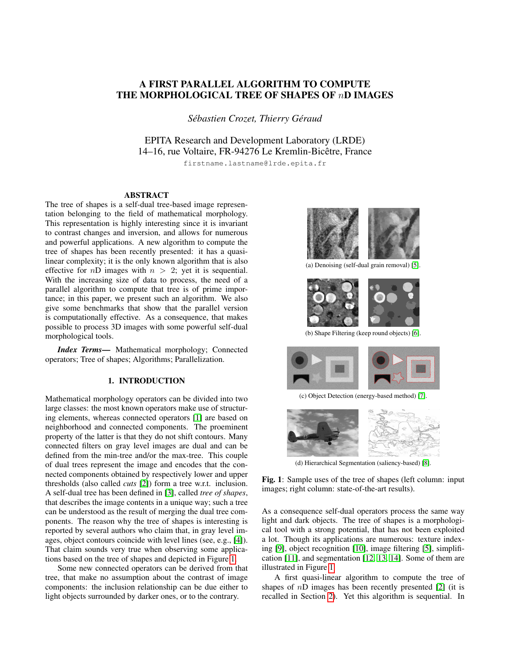## A FIRST PARALLEL ALGORITHM TO COMPUTE THE MORPHOLOGICAL TREE OF SHAPES OF nD IMAGES

 $Sébastien Crozet, Thierry Géraud$ 

EPITA Research and Development Laboratory (LRDE) 14–16, rue Voltaire, FR-94276 Le Kremlin-Bicetre, France ˆ

firstname.lastname@lrde.epita.fr

## ABSTRACT

The tree of shapes is a self-dual tree-based image representation belonging to the field of mathematical morphology. This representation is highly interesting since it is invariant to contrast changes and inversion, and allows for numerous and powerful applications. A new algorithm to compute the tree of shapes has been recently presented: it has a quasilinear complexity; it is the only known algorithm that is also effective for *nD* images with  $n > 2$ ; yet it is sequential. With the increasing size of data to process, the need of a parallel algorithm to compute that tree is of prime importance; in this paper, we present such an algorithm. We also give some benchmarks that show that the parallel version is computationally effective. As a consequence, that makes possible to process 3D images with some powerful self-dual morphological tools.

*Index Terms*— Mathematical morphology; Connected operators; Tree of shapes; Algorithms; Parallelization.

## 1. INTRODUCTION

Mathematical morphology operators can be divided into two large classes: the most known operators make use of structuring elements, whereas connected operators [\[1\]](#page-4-0) are based on neighborhood and connected components. The proeminent property of the latter is that they do not shift contours. Many connected filters on gray level images are dual and can be defined from the min-tree and/or the max-tree. This couple of dual trees represent the image and encodes that the connected components obtained by respectively lower and upper thresholds (also called *cuts* [\[2\]](#page-4-1)) form a tree w.r.t. inclusion. A self-dual tree has been defined in [\[3\]](#page-4-2), called *tree of shapes*, that describes the image contents in a unique way; such a tree can be understood as the result of merging the dual tree components. The reason why the tree of shapes is interesting is reported by several authors who claim that, in gray level images, object contours coincide with level lines (see, e.g., [\[4\]](#page-4-3)). That claim sounds very true when observing some applications based on the tree of shapes and depicted in Figure [1.](#page-0-0)

Some new connected operators can be derived from that tree, that make no assumption about the contrast of image components: the inclusion relationship can be due either to light objects surrounded by darker ones, or to the contrary.

<span id="page-0-0"></span>

(a) Denoising (self-dual grain removal) [\[5\]](#page-4-4).



(b) Shape Filtering (keep round objects) [\[6\]](#page-4-5).



(c) Object Detection (energy-based method) [\[7\]](#page-4-6).



(d) Hierarchical Segmentation (saliency-based) [\[8\]](#page-4-7).

Fig. 1: Sample uses of the tree of shapes (left column: input images; right column: state-of-the-art results).

As a consequence self-dual operators process the same way light and dark objects. The tree of shapes is a morphological tool with a strong potential, that has not been exploited a lot. Though its applications are numerous: texture indexing [\[9\]](#page-4-8), object recognition [\[10\]](#page-4-9), image filtering [\[5\]](#page-4-4), simplification [\[11\]](#page-4-10), and segmentation [\[12,](#page-4-11) [13,](#page-4-12) [14\]](#page-4-13). Some of them are illustrated in Figure [1.](#page-0-0)

A first quasi-linear algorithm to compute the tree of shapes of  $n\overrightarrow{D}$  images has been recently presented [\[2\]](#page-4-1) (it is recalled in Section [2\)](#page-1-0). Yet this algorithm is sequential. In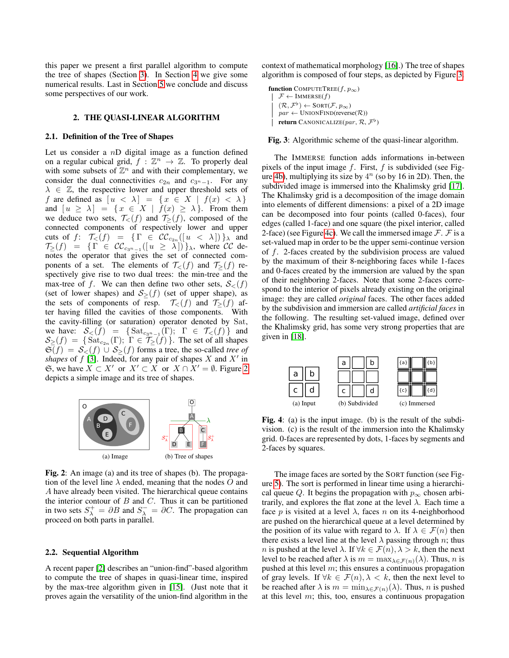this paper we present a first parallel algorithm to compute the tree of shapes (Section [3\)](#page-2-0). In Section [4](#page-3-0) we give some numerical results. Last in Section [5](#page-3-1) we conclude and discuss some perspectives of our work.

### 2. THE QUASI-LINEAR ALGORITHM

### <span id="page-1-0"></span>2.1. Definition of the Tree of Shapes

Let us consider a  $nD$  digital image as a function defined on a regular cubical grid,  $f : \mathbb{Z}^n \to \mathbb{Z}$ . To properly deal with some subsets of  $\mathbb{Z}^n$  and with their complementary, we consider the dual connectivities  $c_{2n}$  and  $c_{3n-1}$ . For any  $\lambda \in \mathbb{Z}$ , the respective lower and upper threshold sets of f are defined as  $[u \lt \lambda] = \{x \in X \mid f(x) \lt \lambda\}$ and  $[u \ge \lambda] = \{x \in X \mid f(x) \ge \lambda\}$ . From them we deduce two sets,  $\mathcal{T}_{\leq}(f)$  and  $\mathcal{T}_{\geq}(f)$ , composed of the connected components of respectively lower and upper cuts of  $f: \mathcal{T}_{\leq}(f) = \{ \Gamma \in \mathcal{CC}_{c_{2n}}([u \lt \lambda]) \}_{\lambda}$  and  $\mathcal{T}_{\ge}(f) = \{ \Gamma \in \mathcal{CC}_{c_{3^n-1}}([u \ge \lambda]) \}_{\lambda}, \text{ where } \mathcal{CC} \text{ de-}$ notes the operator that gives the set of connected components of a set. The elements of  $\mathcal{T}_{\leq}(f)$  and  $\mathcal{T}_{\geq}(f)$  respectively give rise to two dual trees: the min-tree and the max-tree of f. We can then define two other sets,  $S_{\leq}(f)$ (set of lower shapes) and  $S>(f)$  (set of upper shape), as the sets of components of resp.  $\mathcal{T}_{\leq}(f)$  and  $\mathcal{T}_{\geq}(f)$  after having filled the cavities of those components. With the cavity-filling (or saturation) operator denoted by Sat, we have:  $S_<(f) = {\text{Sat}_{c_{3^n-1}}(\Gamma)}$ ;  $\Gamma \in \mathcal{T}_{\leq}(f)$  and  $\mathcal{S}_{\ge}(f) = \{\text{Sat}_{c_{2n}}(\Gamma); \Gamma \in \mathcal{T}_{\ge}(f)\}.$  The set of all shapes  $\mathfrak{S}(f) = \mathcal{S}_{<}(f) \cup \mathcal{S}_{>}(f)$  forms a tree, the so-called *tree of* shapes of  $f$  [\[3\]](#page-4-2). Indeed, for any pair of shapes  $X$  and  $X'$  in  $\mathfrak{S}$ , we have  $X \subset X'$  or  $X' \subset X$  or  $X \cap X' = \emptyset$ . Figure [2](#page-1-1) depicts a simple image and its tree of shapes.

<span id="page-1-1"></span>

Fig. 2: An image (a) and its tree of shapes (b). The propagation of the level line  $\lambda$  ended, meaning that the nodes O and A have already been visited. The hierarchical queue contains the interior contour of  $B$  and  $C$ . Thus it can be partitioned in two sets  $S_{\lambda}^{+} = \partial B$  and  $S_{\lambda}^{-} = \partial C$ . The propagation can proceed on both parts in parallel.

## 2.2. Sequential Algorithm

A recent paper [\[2\]](#page-4-1) describes an "union-find"-based algorithm to compute the tree of shapes in quasi-linear time, inspired by the max-tree algorithm given in [\[15\]](#page-4-14). (Just note that it proves again the versatility of the union-find algorithm in the context of mathematical morphology [\[16\]](#page-4-15).) The tree of shapes algorithm is composed of four steps, as depicted by Figure [3.](#page-1-2)

<span id="page-1-2"></span>function COMPUTETREE $(f, p_{\infty})$  $\mathcal{F} \leftarrow$  IMMERSE $(f)$  $(\mathcal{R}, \mathcal{F}^{\flat}) \leftarrow \text{SORT}(\mathcal{F}, p_{\infty})$  $par \leftarrow$  UNIONFIND(reverse $(\mathcal{R})$ ) **return** CANONICALIZE( $par, \mathcal{R}, \mathcal{F}^{\flat}$ )

Fig. 3: Algorithmic scheme of the quasi-linear algorithm.

The IMMERSE function adds informations in-between pixels of the input image  $f$ . First,  $f$  is subdivided (see Fig-ure [4b\)](#page-1-3), multiplying its size by  $4^n$  (so by 16 in 2D). Then, the subdivided image is immersed into the Khalimsky grid [\[17\]](#page-4-16). The Khalimsky grid is a decomposition of the image domain into elements of different dimensions: a pixel of a 2D image can be decomposed into four points (called 0-faces), four edges (called 1-face) and one square (the pixel interior, called 2-face) (see Figure [4c\)](#page-1-4). We call the immersed image  $\mathcal{F}$ .  $\mathcal{F}$  is a set-valued map in order to be the upper semi-continue version of f. 2-faces created by the subdivision process are valued by the maximum of their 8-neighboring faces while 1-faces and 0-faces created by the immersion are valued by the span of their neighboring 2-faces. Note that some 2-faces correspond to the interior of pixels already existing on the original image: they are called *original* faces. The other faces added by the subdivision and immersion are called *artificial faces* in the following. The resulting set-valued image, defined over the Khalimsky grid, has some very strong properties that are given in [\[18\]](#page-4-17).

<span id="page-1-4"></span><span id="page-1-3"></span>

<span id="page-1-5"></span>Fig. 4: (a) is the input image. (b) is the result of the subdivision. (c) is the result of the immersion into the Khalimsky grid. 0-faces are represented by dots, 1-faces by segments and 2-faces by squares.

The image faces are sorted by the SORT function (see Figure [5\)](#page-2-1). The sort is performed in linear time using a hierarchical queue Q. It begins the propagation with  $p_{\infty}$  chosen arbitrarily, and explores the flat zone at the level  $\lambda$ . Each time a face p is visited at a level  $\lambda$ , faces n on its 4-neighborhood are pushed on the hierarchical queue at a level determined by the position of its value with regard to  $\lambda$ . If  $\lambda \in \mathcal{F}(n)$  then there exists a level line at the level  $\lambda$  passing through n; thus *n* is pushed at the level  $\lambda$ . If  $\forall k \in \mathcal{F}(n), \lambda > k$ , then the next level to be reached after  $\lambda$  is  $m = \max_{\lambda \in \mathcal{F}(n)}(\lambda)$ . Thus, n is pushed at this level  $m$ ; this ensures a continuous propagation of gray levels. If  $\forall k \in \mathcal{F}(n), \lambda \langle k \rangle$ , then the next level to be reached after  $\lambda$  is  $m = \min_{\lambda \in \mathcal{F}(n)}(\lambda)$ . Thus, n is pushed at this level  $m$ ; this, too, ensures a continuous propagation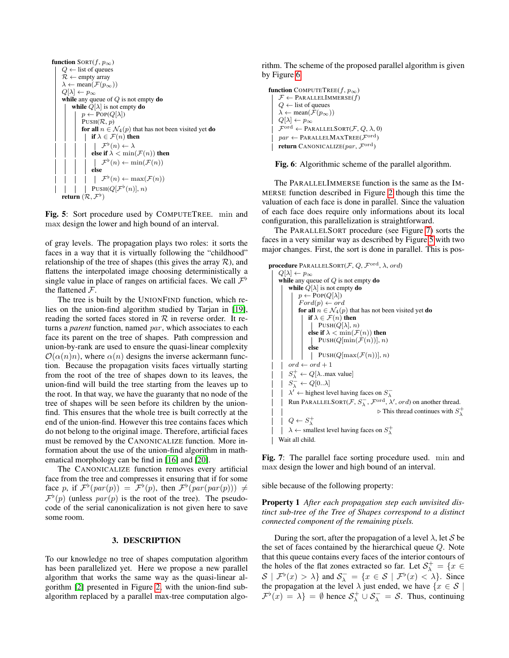<span id="page-2-1"></span>function 
$$
SORT(f, p_{\infty})
$$
  
\n $Q \leftarrow$  list of queues  
\n $\mathcal{R} \leftarrow$  empty array  
\n $\lambda \leftarrow$  mean( $\mathcal{F}(p_{\infty})$ )  
\n $Q[\lambda] \leftarrow p_{\infty}$   
\nwhile any queue of  $Q$  is not empty do  
\nwhile  $Q[\lambda]$  is not empty do  
\n $p \leftarrow POP(Q[\lambda])$   
\n $PUSH(\mathcal{R}, p)$   
\nfor all  $n \in \mathcal{N}_4(p)$  that has not been visited yet do  
\n $| \text{ if } \lambda \in \mathcal{F}(n)$  then  
\n $| \text{ else if } \lambda < \min(\mathcal{F}(n))$  then  
\n $| \text{ else}$   
\n $| \text{ } \mathcal{F}^{\flat}(n) \leftarrow \min(\mathcal{F}(n))$   
\nelse  
\n $| \text{ } | \text{ } \mathcal{F}^{\flat}(n) \leftarrow \max(\mathcal{F}(n))$   
\n $| \text{ } | \text{ } \mathcal{F}^{\flat}(n) \leftarrow \max(\mathcal{F}(n))$   
\n $| \text{ } | \text{ } \mathcal{F}^{\flat}(n) \leftarrow \max(\mathcal{F}(n))$   
\n $| \text{ } | \text{ } \mathcal{F}^{\flat}(n) \leftarrow \max(\mathcal{F}(n))$   
\nreturn  $(\mathcal{R}, \mathcal{F}^{\flat})$ 

Fig. 5: Sort procedure used by COMPUTETREE. min and max design the lower and high bound of an interval.

of gray levels. The propagation plays two roles: it sorts the faces in a way that it is virtually following the "childhood" relationship of the tree of shapes (this gives the array  $\mathcal{R}$ ), and flattens the interpolated image choosing deterministically a single value in place of ranges on artificial faces. We call  $\mathcal{F}^{\flat}$ the flattened F.

The tree is built by the UNIONFIND function, which relies on the union-find algorithm studied by Tarjan in [\[19\]](#page-4-18), reading the sorted faces stored in  $R$  in reverse order. It returns a *parent* function, named *par*, which associates to each face its parent on the tree of shapes. Path compression and union-by-rank are used to ensure the quasi-linear complexity  $\mathcal{O}(\alpha(n)n)$ , where  $\alpha(n)$  designs the inverse ackermann function. Because the propagation visits faces virtually starting from the root of the tree of shapes down to its leaves, the union-find will build the tree starting from the leaves up to the root. In that way, we have the guaranty that no node of the tree of shapes will be seen before its children by the unionfind. This ensures that the whole tree is built correctly at the end of the union-find. However this tree contains faces which do not belong to the original image. Therefore, artificial faces must be removed by the CANONICALIZE function. More information about the use of the union-find algorithm in mathematical morphology can be find in [\[16\]](#page-4-15) and [\[20\]](#page-4-19).

The CANONICALIZE function removes every artificial face from the tree and compresses it ensuring that if for some face p, if  $\mathcal{F}^{\flat}(par(p)) = \mathcal{F}^{\flat}(p)$ , then  $\mathcal{F}^{\flat}(par(par(p))) \neq$  $\mathcal{F}^{\flat}(p)$  (unless  $par(p)$  is the root of the tree). The pseudocode of the serial canonicalization is not given here to save some room.

#### 3. DESCRIPTION

<span id="page-2-0"></span>To our knowledge no tree of shapes computation algorithm has been parallelized yet. Here we propose a new parallel algorithm that works the same way as the quasi-linear algorithm [\[2\]](#page-4-1) presented in Figure [2,](#page-1-0) with the union-find subalgorithm replaced by a parallel max-tree computation algorithm. The scheme of the proposed parallel algorithm is given by Figure [6.](#page-2-2)

<span id="page-2-2"></span>function COMPUTETREE(f,  $p_{\infty}$ )  $\mathcal{F} \leftarrow$  PARALLELIMMERSE $(f)$  $Q \leftarrow$  list of queues  $\lambda \leftarrow \operatorname{mean}(\mathcal{F}(p_\infty))$  $Q[\lambda] \leftarrow p_\infty$  $\mathcal{F}^{\operatorname{ord}} \leftarrow \operatorname{PARALLELSORT}(\mathcal{F}, \, Q, \, \lambda, \, 0)$  $\textit{par} \gets \texttt{PARALLELMAXTREE}(\mathcal{F}^{\text{ord}})$ return CANONICALIZE $(par, \mathcal{F}^{\text{ord}})$ 

Fig. 6: Algorithmic scheme of the parallel algorithm.

The PARALLELIMMERSE function is the same as the IM-MERSE function described in Figure [2](#page-1-0) though this time the valuation of each face is done in parallel. Since the valuation of each face does require only informations about its local configuration, this parallelization is straightforward.

The PARALLELSORT procedure (see Figure [7\)](#page-2-3) sorts the faces in a very similar way as described by Figure [5](#page-2-1) with two major changes. First, the sort is done in parallel. This is pos-

```
procedure PARALLELSORT(\mathcal{F}, Q, \mathcal{F}^{\text{ord}}, \lambda, ord)Q[\lambda] \leftarrow p_{\infty}while any queue of Q is not empty do
     while Q[\lambda] is not empty do
           p \leftarrow POP(Q[\lambda])Ford(p) \leftarrow ordfor all n \in \mathcal{N}_4(p) that has not been visited yet do
                if \lambda \in \mathcal{F}(n) then
                  \vert PUSH(Q[\lambda], n)
                 else if \lambda < \min(\mathcal{F}(n)) then
                  PUSH(Q[\min(\mathcal{F}(n))], n)
                 else
             \vert PUSH(Q[\max(\mathcal{F}(n))], n)
     ord\leftarrow ord+1S^+_{\lambda} \leftarrow Q[\lambda \dots \text{max value}]S_{\lambda}^{-} \leftarrow Q[0..\lambda]\lambda' \leftarrow highest level having faces on S_{\lambda}^-Run PARALLELSORT(\mathcal{F}, S_{\lambda}^-, \mathcal{F}^{\text{ord}}, \lambda', ord) on another thread.
                                                         \triangleright This thread continues with S^+_\lambdaQ \leftarrow S^+_{\lambda}\lambda \leftarrow smallest level having faces on S^+_{\lambda}Wait all child.
```
Fig. 7: The parallel face sorting procedure used. min and max design the lower and high bound of an interval.

<span id="page-2-4"></span>sible because of the following property:

Property 1 *After each propagation step each unvisited distinct sub-tree of the Tree of Shapes correspond to a distinct connected component of the remaining pixels.*

During the sort, after the propagation of a level  $\lambda$ , let S be the set of faces contained by the hierarchical queue Q. Note that this queue contains every faces of the interior contours of the holes of the flat zones extracted so far. Let  $S_{\lambda}^{+} = \{x \in$  $\mathcal{S} \mid \mathcal{F}^{\flat}(x) > \lambda$  and  $\mathcal{S}_{\lambda}^{-} = \{x \in \mathcal{S} \mid \mathcal{F}^{\flat}(x) < \lambda\}$ . Since the propagation at the level  $\lambda$  just ended, we have  $\{x \in \mathcal{S} \mid \lambda\}$  $\mathcal{F}^{\flat}(x) = \lambda$  =  $\emptyset$  hence  $\mathcal{S}_{\lambda}^{+} \cup \mathcal{S}_{\lambda}^{-} = \mathcal{S}$ . Thus, continuing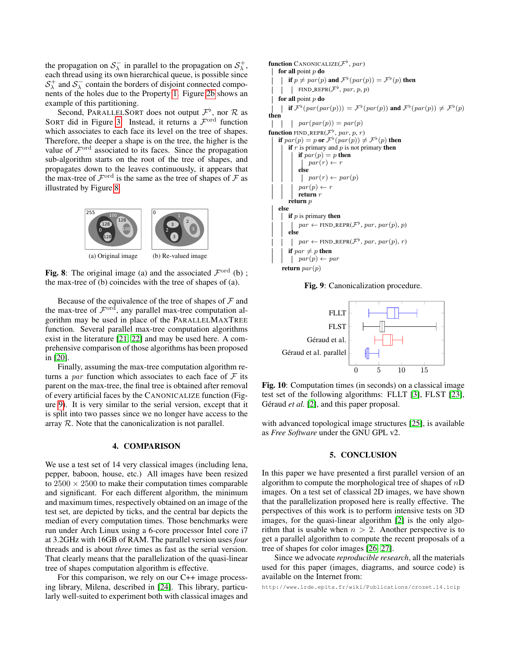the propagation on  $S_{\lambda}^-$  in parallel to the propagation on  $S_{\lambda}^+$ , each thread using its own hierarchical queue, is possible since  $S_\lambda^+$  and  $S_\lambda^-$  contain the borders of disjoint connected components of the holes due to the Property [1.](#page-2-4) Figure [2b](#page-1-5) shows an example of this partitioning.

Second, PARALLELSORT does not output  $\mathcal{F}^{\flat}$ , nor  $\mathcal R$  as SORT did in Figure [3.](#page-1-2) Instead, it returns a  $\mathcal{F}^{\text{ord}}$  function which associates to each face its level on the tree of shapes. Therefore, the deeper a shape is on the tree, the higher is the value of  $\mathcal{F}^{\text{ord}}$  associated to its faces. Since the propagation sub-algorithm starts on the root of the tree of shapes, and propagates down to the leaves continuously, it appears that the max-tree of  $\mathcal{F}^{\text{ord}}$  is the same as the tree of shapes of  $\mathcal F$  as illustrated by Figure [8.](#page-3-2)

<span id="page-3-2"></span>

(a) Original image

(b) Re-valued image

Fig. 8: The original image (a) and the associated  $\mathcal{F}^{\text{ord}}$  (b); the max-tree of (b) coincides with the tree of shapes of (a).

Because of the equivalence of the tree of shapes of  $\mathcal F$  and the max-tree of  $\mathcal{F}^{\text{ord}}$ , any parallel max-tree computation algorithm may be used in place of the PARALLELMAXTREE function. Several parallel max-tree computation algorithms exist in the literature [\[21,](#page-4-20) [22\]](#page-4-21) and may be used here. A comprehensive comparison of those algorithms has been proposed in [\[20\]](#page-4-19).

Finally, assuming the max-tree computation algorithm returns a par function which associates to each face of  $\mathcal F$  its parent on the max-tree, the final tree is obtained after removal of every artificial faces by the CANONICALIZE function (Figure [9\)](#page-3-3). It is very similar to the serial version, except that it is split into two passes since we no longer have access to the array  $R$ . Note that the canonicalization is not parallel.

#### 4. COMPARISON

<span id="page-3-0"></span>We use a test set of 14 very classical images (including lena, pepper, baboon, house, etc.) All images have been resized to  $2500 \times 2500$  to make their computation times comparable and significant. For each different algorithm, the minimum and maximum times, respectively obtained on an image of the test set, are depicted by ticks, and the central bar depicts the median of every computation times. Those benchmarks were run under Arch Linux using a 6-core processor Intel core i7 at 3.2GHz with 16GB of RAM. The parallel version uses *four* threads and is about *three* times as fast as the serial version. That clearly means that the parallelization of the quasi-linear tree of shapes computation algorithm is effective.

For this comparison, we rely on our C++ image processing library, Milena, described in [\[24\]](#page-4-22). This library, particularly well-suited to experiment both with classical images and

```
function CANONICALIZE(\mathcal{F}^{\flat}, par)
for all point p do
       if p \neq par(p) and \mathcal{F}^{\flat}(par(p)) = \mathcal{F}^{\flat}(p) then
             FIND_REPR(\mathcal{F}^{\flat}, \textit{par}, \textit{p}, \textit{p})for all point p do
       if \mathcal{F}^{\flat}(\textit{par}(\textit{par}(p))) = \mathcal{F}^{\flat}(\textit{par}(p)) and \mathcal{F}^{\flat}(\textit{par}(p)) \neq \mathcal{F}^{\flat}(p)then
      \int par(px(p)) = par(p)\mathbf{I}function FIND_REPR(\mathcal{F}^{\flat}, \textit{par}, p, r)if par(p) = p or \mathcal{F}^{\flat}(par(p)) \neq \mathcal{F}^{\flat}(p) then
      if r is primary and p is not primary then
           if par(p) = p then
                 par(r) \leftarrowelse
                par(r) \leftarrow par(p)par(p) \leftarrow rreturn r
      return p
else
      if p is primary then
             par \leftarrow \text{FIND\_REPR}(\mathcal{F}^{\flat}, \text{par}, \text{par}(p), p)else
             par \leftarrow \text{FIND\_REPR}(\mathcal{F}^{\flat}, \text{par}, \text{par}(p), r)if par \neq p then
       \vert par(p) \leftarrow par
  return par(p)
```
Fig. 9: Canonicalization procedure.



Fig. 10: Computation times (in seconds) on a classical image test set of the following algorithms: FLLT [\[3\]](#page-4-2), FLST [\[23\]](#page-4-23), Géraud *et al.* [\[2\]](#page-4-1), and this paper proposal.

with advanced topological image structures [\[25\]](#page-4-24), is available as *Free Software* under the GNU GPL v2.

#### 5. CONCLUSION

<span id="page-3-1"></span>In this paper we have presented a first parallel version of an algorithm to compute the morphological tree of shapes of  $nD$ images. On a test set of classical 2D images, we have shown that the parallelization proposed here is really effective. The perspectives of this work is to perform intensive tests on 3D images, for the quasi-linear algorithm [\[2\]](#page-4-1) is the only algorithm that is usable when  $n > 2$ . Another perspective is to get a parallel algorithm to compute the recent proposals of a tree of shapes for color images [\[26,](#page-4-25) [27\]](#page-4-26).

Since we advocate *reproducible research*, all the materials used for this paper (images, diagrams, and source code) is available on the Internet from:

http://www.lrde.epita.fr/wiki/Publications/crozet.14.icip